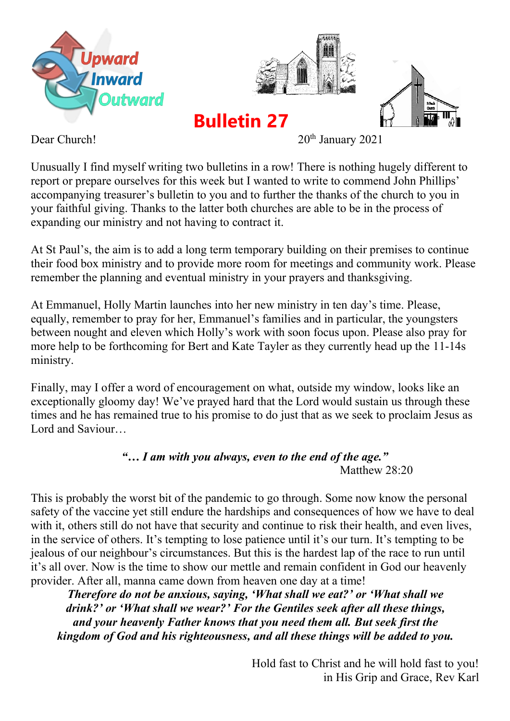



**Bulletin 27**



Dear Church! 20<sup>th</sup> January 2021

Unusually I find myself writing two bulletins in a row! There is nothing hugely different to report or prepare ourselves for this week but I wanted to write to commend John Phillips' accompanying treasurer's bulletin to you and to further the thanks of the church to you in your faithful giving. Thanks to the latter both churches are able to be in the process of expanding our ministry and not having to contract it.

At St Paul's, the aim is to add a long term temporary building on their premises to continue their food box ministry and to provide more room for meetings and community work. Please remember the planning and eventual ministry in your prayers and thanksgiving.

At Emmanuel, Holly Martin launches into her new ministry in ten day's time. Please, equally, remember to pray for her, Emmanuel's families and in particular, the youngsters between nought and eleven which Holly's work with soon focus upon. Please also pray for more help to be forthcoming for Bert and Kate Tayler as they currently head up the 11-14s ministry.

Finally, may I offer a word of encouragement on what, outside my window, looks like an exceptionally gloomy day! We've prayed hard that the Lord would sustain us through these times and he has remained true to his promise to do just that as we seek to proclaim Jesus as Lord and Saviour

> *"… I am with you always, even to the end of the age."*  Matthew 28:20

This is probably the worst bit of the pandemic to go through. Some now know the personal safety of the vaccine yet still endure the hardships and consequences of how we have to deal with it, others still do not have that security and continue to risk their health, and even lives, in the service of others. It's tempting to lose patience until it's our turn. It's tempting to be jealous of our neighbour's circumstances. But this is the hardest lap of the race to run until it's all over. Now is the time to show our mettle and remain confident in God our heavenly provider. After all, manna came down from heaven one day at a time!

*Therefore do not be anxious, saying, 'What shall we eat?' or 'What shall we drink?' or 'What shall we wear?' For the Gentiles seek after all these things, and your heavenly Father knows that you need them all. But seek first the kingdom of God and his righteousness, and all these things will be added to you.*

> Hold fast to Christ and he will hold fast to you! in His Grip and Grace, Rev Karl